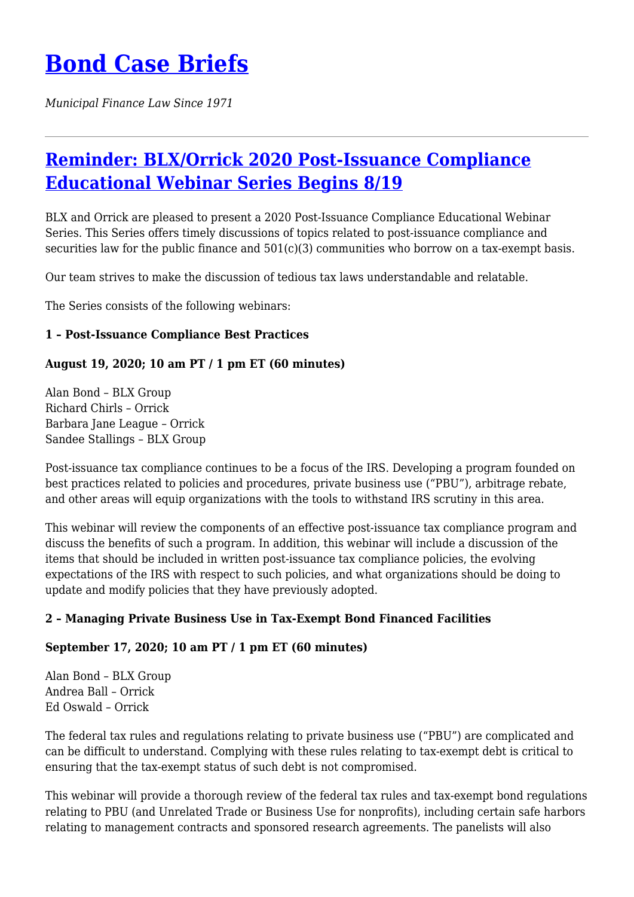# **[Bond Case Briefs](https://bondcasebriefs.com)**

*Municipal Finance Law Since 1971*

# **[Reminder: BLX/Orrick 2020 Post-Issuance Compliance](https://bondcasebriefs.com/2020/08/18/events/reminder-blx-orrick-2020-post-issuance-compliance-educational-webinar-series-begins-8-19/) [Educational Webinar Series Begins 8/19](https://bondcasebriefs.com/2020/08/18/events/reminder-blx-orrick-2020-post-issuance-compliance-educational-webinar-series-begins-8-19/)**

BLX and Orrick are pleased to present a 2020 Post-Issuance Compliance Educational Webinar Series. This Series offers timely discussions of topics related to post-issuance compliance and securities law for the public finance and  $501(c)(3)$  communities who borrow on a tax-exempt basis.

Our team strives to make the discussion of tedious tax laws understandable and relatable.

The Series consists of the following webinars:

#### **1 – Post-Issuance Compliance Best Practices**

#### **August 19, 2020; 10 am PT / 1 pm ET (60 minutes)**

Alan Bond – BLX Group Richard Chirls – Orrick Barbara Jane League – Orrick Sandee Stallings – BLX Group

Post-issuance tax compliance continues to be a focus of the IRS. Developing a program founded on best practices related to policies and procedures, private business use ("PBU"), arbitrage rebate, and other areas will equip organizations with the tools to withstand IRS scrutiny in this area.

This webinar will review the components of an effective post-issuance tax compliance program and discuss the benefits of such a program. In addition, this webinar will include a discussion of the items that should be included in written post-issuance tax compliance policies, the evolving expectations of the IRS with respect to such policies, and what organizations should be doing to update and modify policies that they have previously adopted.

#### **2 – Managing Private Business Use in Tax-Exempt Bond Financed Facilities**

#### **September 17, 2020; 10 am PT / 1 pm ET (60 minutes)**

Alan Bond – BLX Group Andrea Ball – Orrick Ed Oswald – Orrick

The federal tax rules and regulations relating to private business use ("PBU") are complicated and can be difficult to understand. Complying with these rules relating to tax-exempt debt is critical to ensuring that the tax-exempt status of such debt is not compromised.

This webinar will provide a thorough review of the federal tax rules and tax-exempt bond regulations relating to PBU (and Unrelated Trade or Business Use for nonprofits), including certain safe harbors relating to management contracts and sponsored research agreements. The panelists will also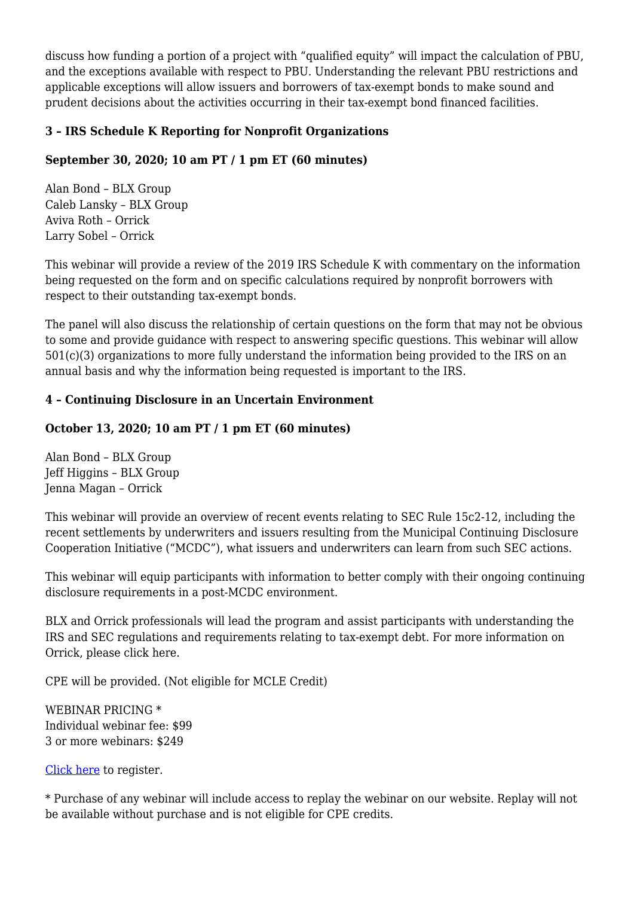discuss how funding a portion of a project with "qualified equity" will impact the calculation of PBU, and the exceptions available with respect to PBU. Understanding the relevant PBU restrictions and applicable exceptions will allow issuers and borrowers of tax-exempt bonds to make sound and prudent decisions about the activities occurring in their tax-exempt bond financed facilities.

## **3 – IRS Schedule K Reporting for Nonprofit Organizations**

## **September 30, 2020; 10 am PT / 1 pm ET (60 minutes)**

Alan Bond – BLX Group Caleb Lansky – BLX Group Aviva Roth – Orrick Larry Sobel – Orrick

This webinar will provide a review of the 2019 IRS Schedule K with commentary on the information being requested on the form and on specific calculations required by nonprofit borrowers with respect to their outstanding tax-exempt bonds.

The panel will also discuss the relationship of certain questions on the form that may not be obvious to some and provide guidance with respect to answering specific questions. This webinar will allow 501(c)(3) organizations to more fully understand the information being provided to the IRS on an annual basis and why the information being requested is important to the IRS.

#### **4 – Continuing Disclosure in an Uncertain Environment**

## **October 13, 2020; 10 am PT / 1 pm ET (60 minutes)**

Alan Bond – BLX Group Jeff Higgins – BLX Group Jenna Magan – Orrick

This webinar will provide an overview of recent events relating to SEC Rule 15c2-12, including the recent settlements by underwriters and issuers resulting from the Municipal Continuing Disclosure Cooperation Initiative ("MCDC"), what issuers and underwriters can learn from such SEC actions.

This webinar will equip participants with information to better comply with their ongoing continuing disclosure requirements in a post-MCDC environment.

BLX and Orrick professionals will lead the program and assist participants with understanding the IRS and SEC regulations and requirements relating to tax-exempt debt. For more information on Orrick, please click here.

CPE will be provided. (Not eligible for MCLE Credit)

WEBINAR PRICING \* Individual webinar fee: \$99 3 or more webinars: \$249

[Click here](https://www.blxgroup.com/event/blx-orrick-post-issuance-compliance-educational-webinar-series-2020/) to register.

\* Purchase of any webinar will include access to replay the webinar on our website. Replay will not be available without purchase and is not eligible for CPE credits.